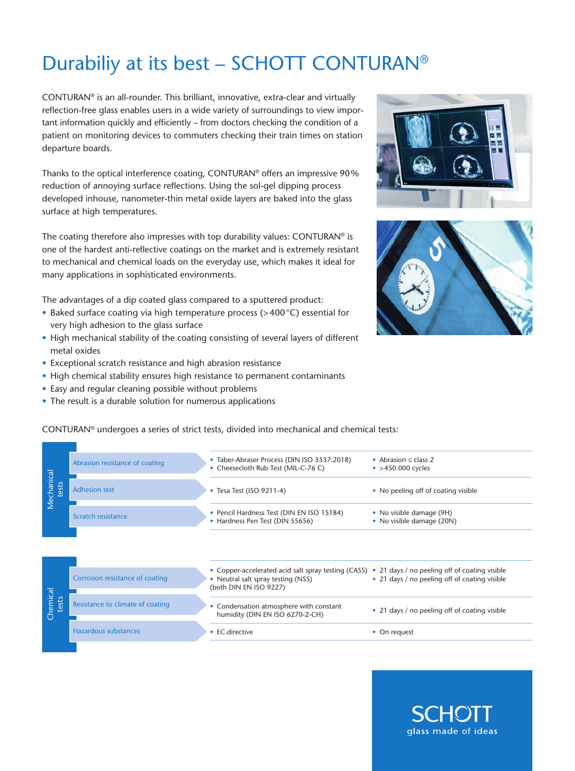## Durabiliy at its best – SCHOTT CONTURAN®

CONTURAN® is an all-rounder. This brilliant, innovative, extra-clear and virtually reflection-free glass enables users in a wide variety of surroundings to view important information quickly and efficiently – from doctors checking the condition of a patient on monitoring devices to commuters checking their train times on station departure boards.

Thanks to the optical interference coating, CONTURAN® offers an impressive 90 % reduction of annoying surface reflections. Using the sol-gel dipping process developed inhouse, nanometer-thin metal oxide layers are baked into the glass surface at high temperatures.

The coating therefore also impresses with top durability values: CONTURAN® is one of the hardest anti-reflective coatings on the market and is extremely resistant to mechanical and chemical loads on the everyday use, which makes it ideal for many applications in sophisticated environments.

The advantages of a dip coated glass compared to a sputtered product:

- Baked surface coating via high temperature process (>400 °C) essential for very high adhesion to the glass surface
- High mechanical stability of the coating consisting of several layers of different metal oxides
- Exceptional scratch resistance and high abrasion resistance
- High chemical stability ensures high resistance to permanent contaminants
- Easy and regular cleaning possible without problems
- The result is a durable solution for numerous applications

CONTURAN® undergoes a series of strict tests, divided into mechanical and chemical tests:





• Abrasion ≤ class 2

|                                  | • Cheesecloth Rub Test (MIL-C-76 C)                                                                                                                               | ב כנסוט ≤ Lid יוטונסוטר<br>$\bullet$ >450.000 cycles  |
|----------------------------------|-------------------------------------------------------------------------------------------------------------------------------------------------------------------|-------------------------------------------------------|
| <b>Adhesion test</b>             | • Tesa Test (ISO 9211-4)                                                                                                                                          | • No peeling off of coating visible                   |
| Scratch resistance               | • Pencil Hardness Test (DIN EN ISO 15184)<br>• Hardness Pen Test (DIN 55656)                                                                                      | • No visible damage (9H)<br>• No visible damage (20N) |
|                                  |                                                                                                                                                                   |                                                       |
| Corrosion resistance of coating  | • Copper-accelerated acid salt spray testing (CASS) • 21 days / no peeling off of coating visible<br>• Neutral salt spray testing (NSS)<br>(both DIN EN ISO 9227) | • 21 days / no peeling off of coating visible         |
| Resistance to climate of coating | Condensation atmosphere with constant<br>humidity (DIN EN ISO 6270-2-CH)                                                                                          | • 21 days / no peeling off of coating visible         |
|                                  | • EC.directive                                                                                                                                                    | • On request                                          |
|                                  | Abrasion resistance of coating<br><b>Hazardous substances</b>                                                                                                     | Tapel-Apiasel Flucess (DIN ISO 3337.2010)             |

• Taber-Abraser Process (DIN ISO 3537:2018)